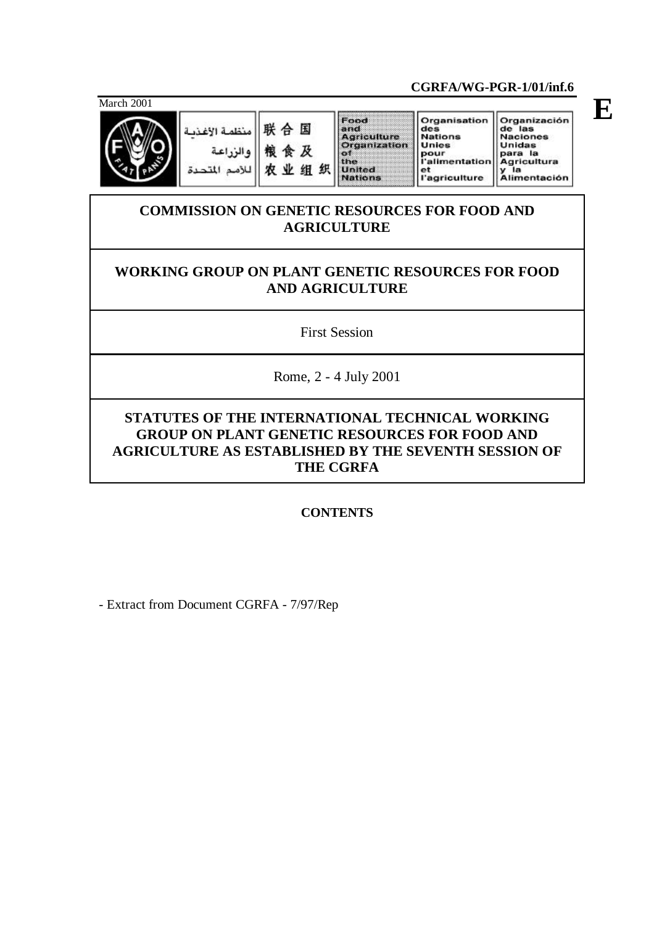March 2001



منظمة الإغذية والزراعة للأصم المت

Food 联合国 粮食及  $\bullet$ the 农业组织 **United**<br>Nations

and<br>Agriculture<br>Organization

Organización<br>de las<br>Naciones<br>Unidas<br>para la<br>Agricultura<br>y la<br>Alimentación Organisation des<br>Nations<br>Unies pour<br>l'alimentation

et<br>
l'agriculture

**CGRFA/WG-PGR-1/01/inf.6**

# **COMMISSION ON GENETIC RESOURCES FOR FOOD AND AGRICULTURE**

# **WORKING GROUP ON PLANT GENETIC RESOURCES FOR FOOD AND AGRICULTURE**

First Session

Rome, 2 - 4 July 2001

# **STATUTES OF THE INTERNATIONAL TECHNICAL WORKING GROUP ON PLANT GENETIC RESOURCES FOR FOOD AND AGRICULTURE AS ESTABLISHED BY THE SEVENTH SESSION OF THE CGRFA**

# **CONTENTS**

- Extract from Document CGRFA - 7/97/Rep

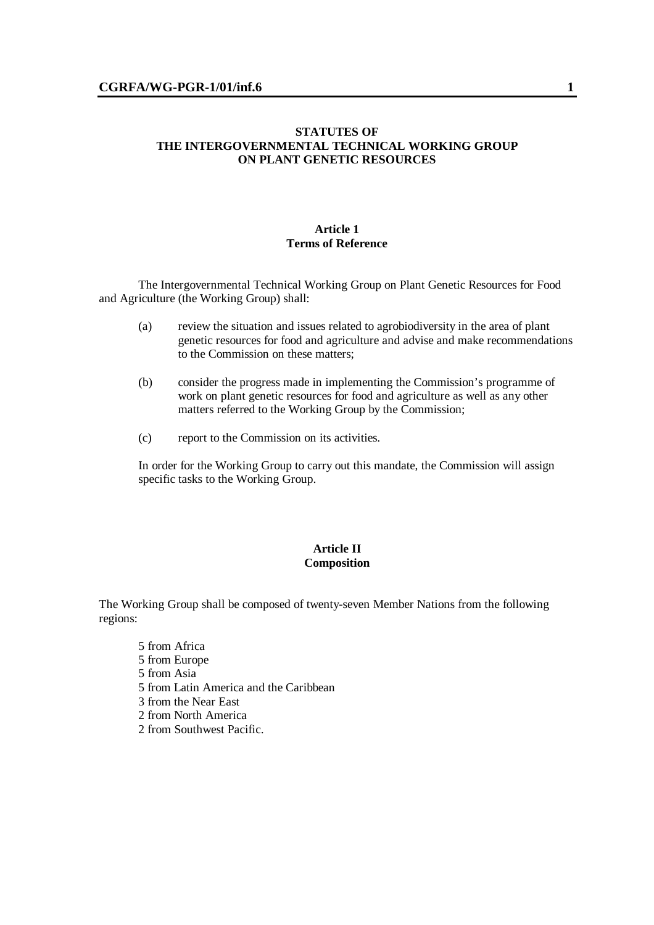### **STATUTES OF THE INTERGOVERNMENTAL TECHNICAL WORKING GROUP ON PLANT GENETIC RESOURCES**

### **Article 1 Terms of Reference**

The Intergovernmental Technical Working Group on Plant Genetic Resources for Food and Agriculture (the Working Group) shall:

- (a) review the situation and issues related to agrobiodiversity in the area of plant genetic resources for food and agriculture and advise and make recommendations to the Commission on these matters;
- (b) consider the progress made in implementing the Commission's programme of work on plant genetic resources for food and agriculture as well as any other matters referred to the Working Group by the Commission;
- (c) report to the Commission on its activities.

In order for the Working Group to carry out this mandate, the Commission will assign specific tasks to the Working Group.

## **Article II Composition**

The Working Group shall be composed of twenty-seven Member Nations from the following regions:

- 5 from Africa
- 5 from Europe
- 5 from Asia
- 5 from Latin America and the Caribbean
- 3 from the Near East
- 2 from North America
- 2 from Southwest Pacific.